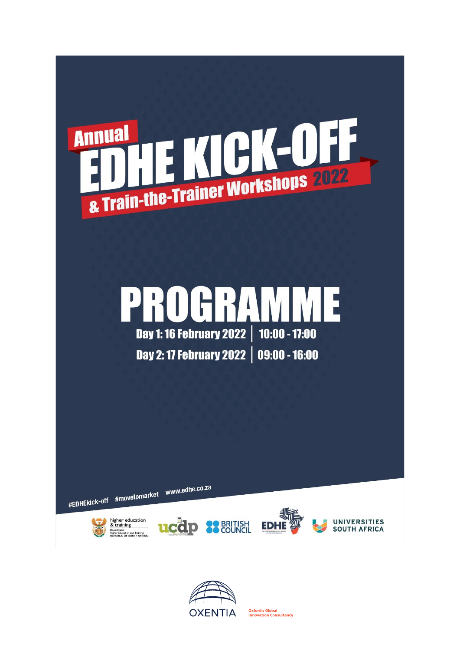

## PROGRAMM F Day 1: 16 February 2022 | 10:00 - 17:00

Day 2: 17 February 2022 | 09:00 - 16:00

#EDHEkick-off #movetomarket www.edhe.co.za











**Oxford's Global UXIOLES GIODAL**<br>Innovation Consultancy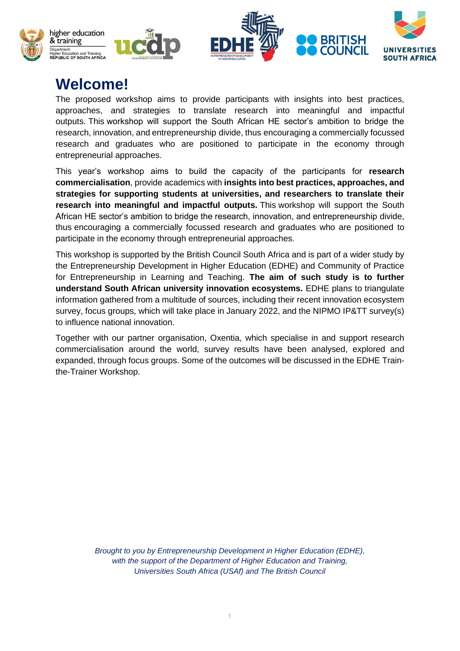

## **Welcome!**

The proposed workshop aims to provide participants with insights into best practices, approaches, and strategies to translate research into meaningful and impactful outputs. This workshop will support the South African HE sector's ambition to bridge the research, innovation, and entrepreneurship divide, thus encouraging a commercially focussed research and graduates who are positioned to participate in the economy through entrepreneurial approaches.

This year's workshop aims to build the capacity of the participants for **research commercialisation**, provide academics with **insights into best practices, approaches, and strategies for supporting students at universities, and researchers to translate their research into meaningful and impactful outputs.** This workshop will support the South African HE sector's ambition to bridge the research, innovation, and entrepreneurship divide, thus encouraging a commercially focussed research and graduates who are positioned to participate in the economy through entrepreneurial approaches.

This workshop is supported by the British Council South Africa and is part of a wider study by the Entrepreneurship Development in Higher Education (EDHE) and Community of Practice for Entrepreneurship in Learning and Teaching. **The aim of such study is to further understand South African university innovation ecosystems.** EDHE plans to triangulate information gathered from a multitude of sources, including their recent innovation ecosystem survey, focus groups, which will take place in January 2022, and the NIPMO IP&TT survey(s) to influence national innovation.

Together with our partner organisation, Oxentia, which specialise in and support research commercialisation around the world, survey results have been analysed, explored and expanded, through focus groups. Some of the outcomes will be discussed in the EDHE Trainthe-Trainer Workshop.

> *Brought to you by Entrepreneurship Development in Higher Education (EDHE), with the support of the Department of Higher Education and Training, Universities South Africa (USAf) and The British Council*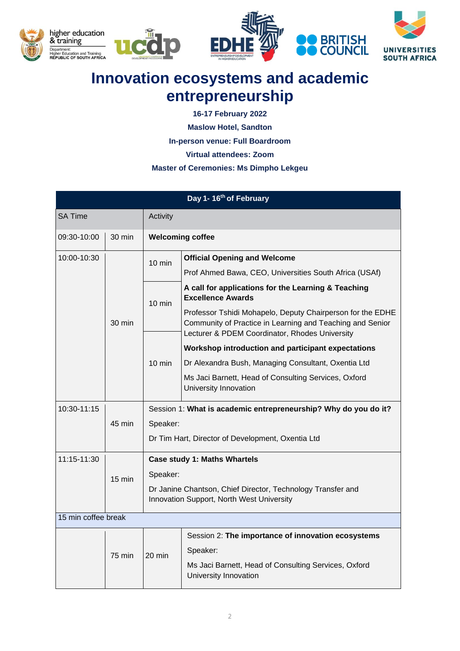

## **Innovation ecosystems and academic entrepreneurship**

**16-17 February 2022**

**Maslow Hotel, Sandton**

**In-person venue: Full Boardroom**

**Virtual attendees: Zoom** 

## **Master of Ceremonies: Ms Dimpho Lekgeu**

| Day 1-16th of February |                  |                                                                                                          |                                                                                                                                                                           |  |  |
|------------------------|------------------|----------------------------------------------------------------------------------------------------------|---------------------------------------------------------------------------------------------------------------------------------------------------------------------------|--|--|
| SA Time                |                  | Activity                                                                                                 |                                                                                                                                                                           |  |  |
| 09:30-10:00            | $30 \text{ min}$ | <b>Welcoming coffee</b>                                                                                  |                                                                                                                                                                           |  |  |
| 10:00-10:30            |                  | $10 \text{ min}$                                                                                         | <b>Official Opening and Welcome</b>                                                                                                                                       |  |  |
|                        | 30 min           |                                                                                                          | Prof Ahmed Bawa, CEO, Universities South Africa (USAf)                                                                                                                    |  |  |
|                        |                  | $10 \text{ min}$<br>$10 \text{ min}$                                                                     | A call for applications for the Learning & Teaching<br><b>Excellence Awards</b>                                                                                           |  |  |
|                        |                  |                                                                                                          | Professor Tshidi Mohapelo, Deputy Chairperson for the EDHE<br>Community of Practice in Learning and Teaching and Senior<br>Lecturer & PDEM Coordinator, Rhodes University |  |  |
|                        |                  |                                                                                                          | Workshop introduction and participant expectations                                                                                                                        |  |  |
|                        |                  |                                                                                                          | Dr Alexandra Bush, Managing Consultant, Oxentia Ltd                                                                                                                       |  |  |
|                        |                  |                                                                                                          | Ms Jaci Barnett, Head of Consulting Services, Oxford<br>University Innovation                                                                                             |  |  |
| 10:30-11:15            |                  | Session 1: What is academic entrepreneurship? Why do you do it?                                          |                                                                                                                                                                           |  |  |
|                        | 45 min           | Speaker:                                                                                                 |                                                                                                                                                                           |  |  |
|                        |                  | Dr Tim Hart, Director of Development, Oxentia Ltd                                                        |                                                                                                                                                                           |  |  |
| 11:15-11:30            |                  |                                                                                                          | <b>Case study 1: Maths Whartels</b>                                                                                                                                       |  |  |
|                        | 15 min           | Speaker:                                                                                                 |                                                                                                                                                                           |  |  |
|                        |                  | Dr Janine Chantson, Chief Director, Technology Transfer and<br>Innovation Support, North West University |                                                                                                                                                                           |  |  |
| 15 min coffee break    |                  |                                                                                                          |                                                                                                                                                                           |  |  |
|                        |                  | $20 \text{ min}$                                                                                         | Session 2: The importance of innovation ecosystems                                                                                                                        |  |  |
|                        | 75 min           |                                                                                                          | Speaker:                                                                                                                                                                  |  |  |
|                        |                  |                                                                                                          | Ms Jaci Barnett, Head of Consulting Services, Oxford<br>University Innovation                                                                                             |  |  |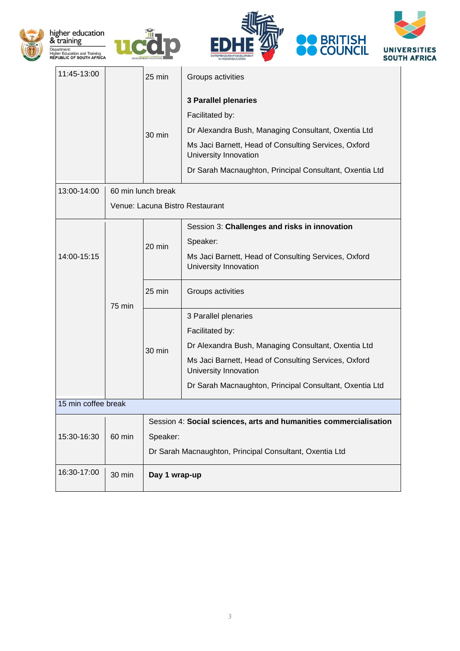







| 11:45-13:00         |        | $25$ min                                                          | Groups activities                                                             |  |  |  |  |
|---------------------|--------|-------------------------------------------------------------------|-------------------------------------------------------------------------------|--|--|--|--|
|                     |        |                                                                   | <b>3 Parallel plenaries</b>                                                   |  |  |  |  |
|                     |        | $30 \text{ min}$                                                  | Facilitated by:                                                               |  |  |  |  |
|                     |        |                                                                   | Dr Alexandra Bush, Managing Consultant, Oxentia Ltd                           |  |  |  |  |
|                     |        |                                                                   | Ms Jaci Barnett, Head of Consulting Services, Oxford<br>University Innovation |  |  |  |  |
|                     |        |                                                                   | Dr Sarah Macnaughton, Principal Consultant, Oxentia Ltd                       |  |  |  |  |
| 13:00-14:00         |        | 60 min lunch break                                                |                                                                               |  |  |  |  |
|                     |        | Venue: Lacuna Bistro Restaurant                                   |                                                                               |  |  |  |  |
| 14:00-15:15         |        | 20 min                                                            | Session 3: Challenges and risks in innovation                                 |  |  |  |  |
|                     |        |                                                                   | Speaker:                                                                      |  |  |  |  |
|                     |        |                                                                   | Ms Jaci Barnett, Head of Consulting Services, Oxford<br>University Innovation |  |  |  |  |
|                     |        | 25 min                                                            | Groups activities                                                             |  |  |  |  |
|                     | 75 min | 30 min                                                            | 3 Parallel plenaries                                                          |  |  |  |  |
|                     |        |                                                                   | Facilitated by:                                                               |  |  |  |  |
|                     |        |                                                                   | Dr Alexandra Bush, Managing Consultant, Oxentia Ltd                           |  |  |  |  |
|                     |        |                                                                   | Ms Jaci Barnett, Head of Consulting Services, Oxford<br>University Innovation |  |  |  |  |
|                     |        |                                                                   | Dr Sarah Macnaughton, Principal Consultant, Oxentia Ltd                       |  |  |  |  |
| 15 min coffee break |        |                                                                   |                                                                               |  |  |  |  |
|                     | 60 min | Session 4: Social sciences, arts and humanities commercialisation |                                                                               |  |  |  |  |
| 15:30-16:30         |        | Speaker:                                                          |                                                                               |  |  |  |  |
|                     |        | Dr Sarah Macnaughton, Principal Consultant, Oxentia Ltd           |                                                                               |  |  |  |  |
| 16:30-17:00         | 30 min | Day 1 wrap-up                                                     |                                                                               |  |  |  |  |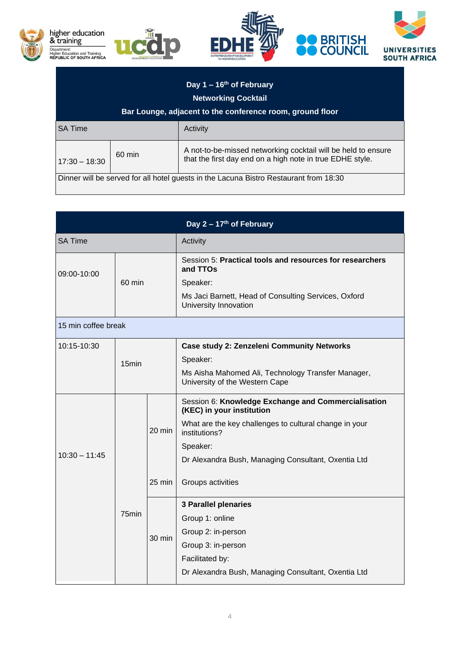

| Day 1 – 16 <sup>th</sup> of February<br><b>Networking Cocktail</b><br>Bar Lounge, adjacent to the conference room, ground floor |                  |                                                                                                                            |  |  |  |
|---------------------------------------------------------------------------------------------------------------------------------|------------------|----------------------------------------------------------------------------------------------------------------------------|--|--|--|
| <b>SA Time</b>                                                                                                                  |                  | Activity                                                                                                                   |  |  |  |
| $17:30 - 18:30$                                                                                                                 | $60 \text{ min}$ | A not-to-be-missed networking cocktail will be held to ensure<br>that the first day end on a high note in true EDHE style. |  |  |  |
| Dinner will be served for all hotel guests in the Lacuna Bistro Restaurant from 18:30                                           |                  |                                                                                                                            |  |  |  |

| Day $2 - 17$ <sup>th</sup> of February |                  |        |                                                                                      |  |  |  |
|----------------------------------------|------------------|--------|--------------------------------------------------------------------------------------|--|--|--|
| <b>SA Time</b>                         |                  |        | Activity                                                                             |  |  |  |
| 09:00-10:00                            | $60 \text{ min}$ |        | Session 5: Practical tools and resources for researchers<br>and TTOs                 |  |  |  |
|                                        |                  |        | Speaker:                                                                             |  |  |  |
|                                        |                  |        | Ms Jaci Barnett, Head of Consulting Services, Oxford<br>University Innovation        |  |  |  |
| 15 min coffee break                    |                  |        |                                                                                      |  |  |  |
| 10:15-10:30                            | 15min            |        | <b>Case study 2: Zenzeleni Community Networks</b>                                    |  |  |  |
|                                        |                  |        | Speaker:                                                                             |  |  |  |
|                                        |                  |        | Ms Aisha Mahomed Ali, Technology Transfer Manager,<br>University of the Western Cape |  |  |  |
|                                        |                  |        | Session 6: Knowledge Exchange and Commercialisation<br>(KEC) in your institution     |  |  |  |
|                                        |                  | 20 min | What are the key challenges to cultural change in your<br>institutions?              |  |  |  |
|                                        |                  |        | Speaker:                                                                             |  |  |  |
| $10:30 - 11:45$                        | 75min            |        | Dr Alexandra Bush, Managing Consultant, Oxentia Ltd                                  |  |  |  |
|                                        |                  | 25 min | Groups activities                                                                    |  |  |  |
|                                        |                  | 30 min | <b>3 Parallel plenaries</b>                                                          |  |  |  |
|                                        |                  |        | Group 1: online                                                                      |  |  |  |
|                                        |                  |        | Group 2: in-person                                                                   |  |  |  |
|                                        |                  |        | Group 3: in-person                                                                   |  |  |  |
|                                        |                  |        | Facilitated by:                                                                      |  |  |  |
|                                        |                  |        | Dr Alexandra Bush, Managing Consultant, Oxentia Ltd                                  |  |  |  |